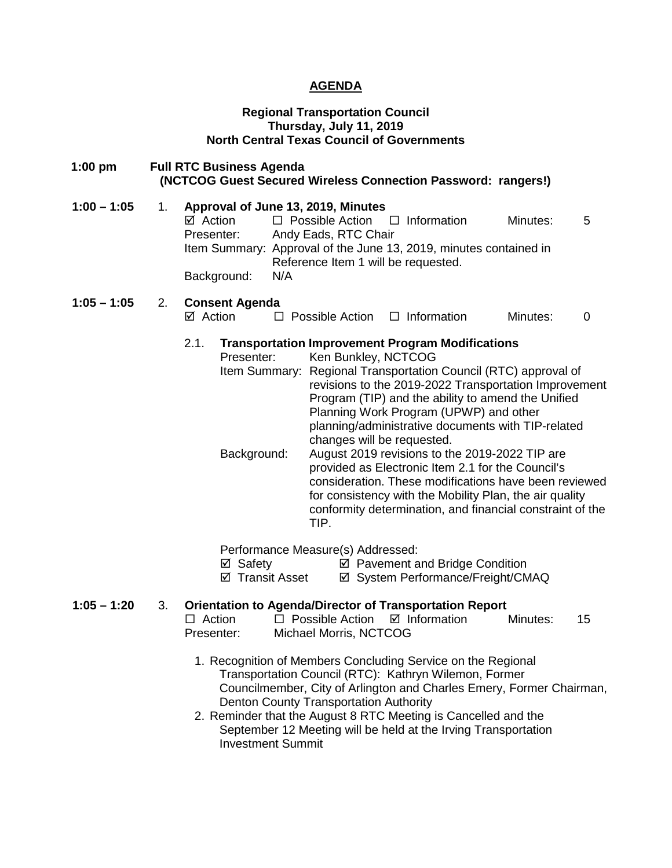### **AGENDA**

### **Regional Transportation Council Thursday, July 11, 2019 North Central Texas Council of Governments**

| $1:00$ pm     |    | <b>Full RTC Business Agenda</b><br>(NCTCOG Guest Secured Wireless Connection Password: rangers!)                                                                                                                                                                                                                                                                                                                                                                                                                                                                                                                                                                                                                                    |
|---------------|----|-------------------------------------------------------------------------------------------------------------------------------------------------------------------------------------------------------------------------------------------------------------------------------------------------------------------------------------------------------------------------------------------------------------------------------------------------------------------------------------------------------------------------------------------------------------------------------------------------------------------------------------------------------------------------------------------------------------------------------------|
| $1:00 - 1:05$ | 1. | Approval of June 13, 2019, Minutes<br>$\boxtimes$ Action<br>$\Box$ Possible Action<br>$\Box$ Information<br>Minutes:<br>5<br>Andy Eads, RTC Chair<br>Presenter:<br>Item Summary: Approval of the June 13, 2019, minutes contained in<br>Reference Item 1 will be requested.<br>Background:<br>N/A                                                                                                                                                                                                                                                                                                                                                                                                                                   |
| $1:05 - 1:05$ | 2. | <b>Consent Agenda</b><br>$\boxtimes$ Action<br>$\Box$ Possible Action<br>$\Box$ Information<br>Minutes:<br>0                                                                                                                                                                                                                                                                                                                                                                                                                                                                                                                                                                                                                        |
|               |    | 2.1.<br><b>Transportation Improvement Program Modifications</b><br>Ken Bunkley, NCTCOG<br>Presenter:<br>Item Summary: Regional Transportation Council (RTC) approval of<br>revisions to the 2019-2022 Transportation Improvement<br>Program (TIP) and the ability to amend the Unified<br>Planning Work Program (UPWP) and other<br>planning/administrative documents with TIP-related<br>changes will be requested.<br>Background:<br>August 2019 revisions to the 2019-2022 TIP are<br>provided as Electronic Item 2.1 for the Council's<br>consideration. These modifications have been reviewed<br>for consistency with the Mobility Plan, the air quality<br>conformity determination, and financial constraint of the<br>TIP. |
|               |    | Performance Measure(s) Addressed:<br>⊠ Safety<br>☑ Pavement and Bridge Condition<br>☑ Transit Asset<br>☑ System Performance/Freight/CMAQ                                                                                                                                                                                                                                                                                                                                                                                                                                                                                                                                                                                            |
| $1:05 - 1:20$ | 3. | <b>Orientation to Agenda/Director of Transportation Report</b><br>$\Box$ Action<br>$\Box$ Possible Action<br>$\boxtimes$ Information<br>Minutes:<br>15<br>Presenter:<br>Michael Morris, NCTCOG                                                                                                                                                                                                                                                                                                                                                                                                                                                                                                                                      |
|               |    | 1. Recognition of Members Concluding Service on the Regional<br>Transportation Council (RTC): Kathryn Wilemon, Former<br>Councilmember, City of Arlington and Charles Emery, Former Chairman,<br>Denton County Transportation Authority<br>2. Reminder that the August 8 RTC Meeting is Cancelled and the<br>September 12 Meeting will be held at the Irving Transportation<br><b>Investment Summit</b>                                                                                                                                                                                                                                                                                                                             |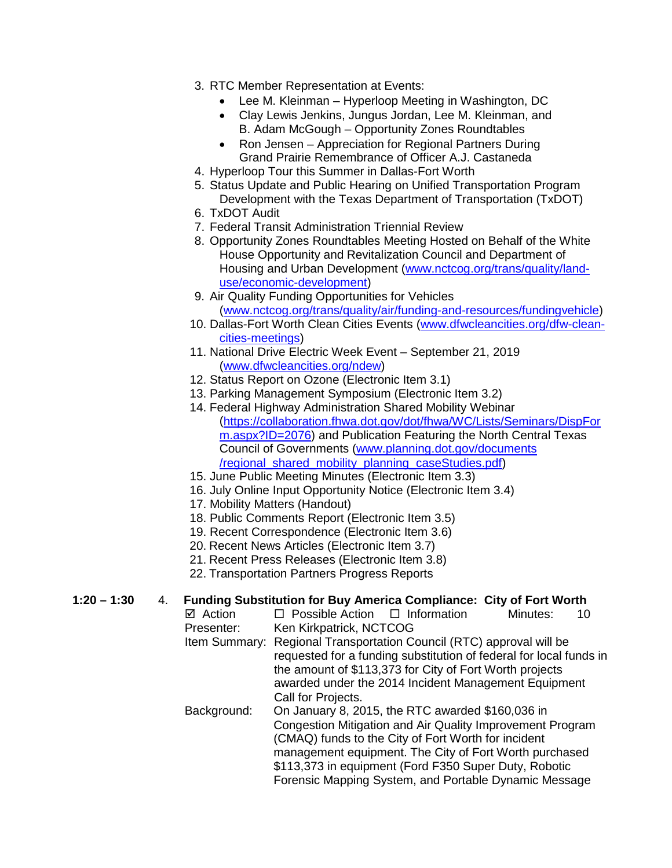- 3. RTC Member Representation at Events:
	- Lee M. Kleinman Hyperloop Meeting in Washington, DC
	- Clay Lewis Jenkins, Jungus Jordan, Lee M. Kleinman, and B. Adam McGough – Opportunity Zones Roundtables
	- Ron Jensen Appreciation for Regional Partners During Grand Prairie Remembrance of Officer A.J. Castaneda
- 4. Hyperloop Tour this Summer in Dallas-Fort Worth
- 5. Status Update and Public Hearing on Unified Transportation Program Development with the Texas Department of Transportation (TxDOT)
- 6. TxDOT Audit
- 7. Federal Transit Administration Triennial Review
- 8. Opportunity Zones Roundtables Meeting Hosted on Behalf of the White House Opportunity and Revitalization Council and Department of Housing and Urban Development (www.nctcog.org/trans/quality/landuse/economic-development)
- 9. Air Quality Funding Opportunities for Vehicles (www.nctcog.org/trans/quality/air/funding-and-resources/fundingvehicle)
- 10. Dallas-Fort Worth Clean Cities Events (www.dfwcleancities.org/dfw-cleancities-meetings)
- 11. National Drive Electric Week Event September 21, 2019 (www.dfwcleancities.org/ndew)
- 12. Status Report on Ozone (Electronic Item 3.1)
- 13. Parking Management Symposium (Electronic Item 3.2)
- 14. Federal Highway Administration Shared Mobility Webinar (https://collaboration.fhwa.dot.gov/dot/fhwa/WC/Lists/Seminars/DispFor m.aspx?ID=2076) and Publication Featuring the North Central Texas Council of Governments (www.planning.dot.gov/documents /regional\_shared\_mobility\_planning\_caseStudies.pdf)
- 15. June Public Meeting Minutes (Electronic Item 3.3)
- 16. July Online Input Opportunity Notice (Electronic Item 3.4)
- 17. Mobility Matters (Handout)
- 18. Public Comments Report (Electronic Item 3.5)
- 19. Recent Correspondence (Electronic Item 3.6)
- 20. Recent News Articles (Electronic Item 3.7)
- 21. Recent Press Releases (Electronic Item 3.8)
- 22. Transportation Partners Progress Reports

## **1:20 – 1:30** 4. **Funding Substitution for Buy America Compliance: City of Fort Worth**

- $\Box$  Possible Action  $\Box$  Information Minutes: 10 Presenter: Ken Kirkpatrick, NCTCOG
- Item Summary: Regional Transportation Council (RTC) approval will be requested for a funding substitution of federal for local funds in the amount of \$113,373 for City of Fort Worth projects awarded under the 2014 Incident Management Equipment Call for Projects.
- Background: On January 8, 2015, the RTC awarded \$160,036 in Congestion Mitigation and Air Quality Improvement Program (CMAQ) funds to the City of Fort Worth for incident management equipment. The City of Fort Worth purchased \$113,373 in equipment (Ford F350 Super Duty, Robotic Forensic Mapping System, and Portable Dynamic Message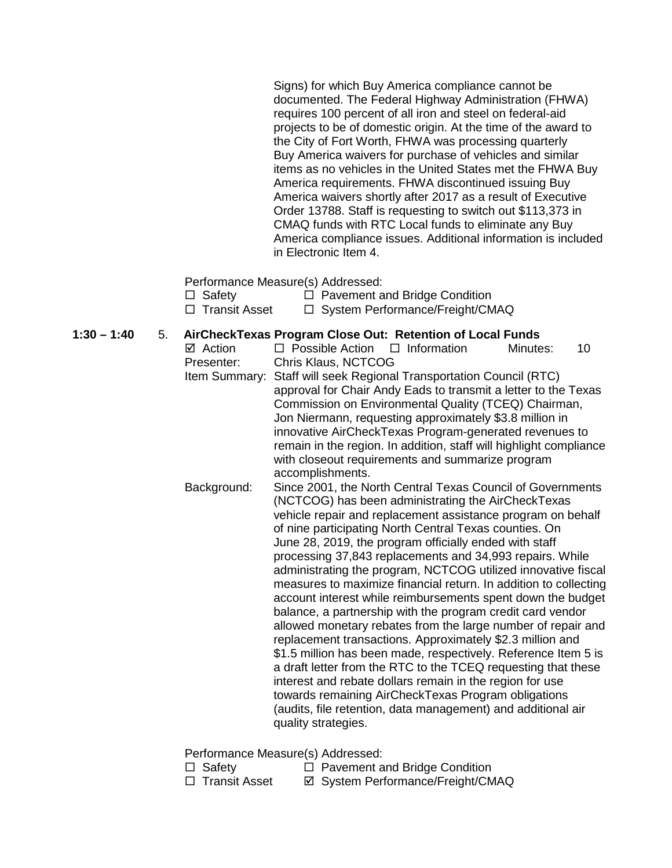Signs) for which Buy America compliance cannot be documented. The Federal Highway Administration (FHWA) requires 100 percent of all iron and steel on federal-aid projects to be of domestic origin. At the time of the award to the City of Fort Worth, FHWA was processing quarterly Buy America waivers for purchase of vehicles and similar items as no vehicles in the United States met the FHWA Buy America requirements. FHWA discontinued issuing Buy America waivers shortly after 2017 as a result of Executive Order 13788. Staff is requesting to switch out \$113,373 in CMAQ funds with RTC Local funds to eliminate any Buy America compliance issues. Additional information is included in Electronic Item 4.

Performance Measure(s) Addressed:

| $\Box$ Safety   | $\Box$ Pavement and Bridge Condition |
|-----------------|--------------------------------------|
| □ Transit Asset | □ System Performance/Freight/CMAQ    |

# **1:30 – 1:40** 5. **AirCheckTexas Program Close Out: Retention of Local Funds**

 $\Box$  Possible Action  $\Box$  Information Minutes: 10 Presenter: Chris Klaus, NCTCOG Item Summary: Staff will seek Regional Transportation Council (RTC) approval for Chair Andy Eads to transmit a letter to the Texas Commission on Environmental Quality (TCEQ) Chairman, Jon Niermann, requesting approximately \$3.8 million in innovative AirCheckTexas Program-generated revenues to remain in the region. In addition, staff will highlight compliance with closeout requirements and summarize program accomplishments. Background: Since 2001, the North Central Texas Council of Governments (NCTCOG) has been administrating the AirCheckTexas vehicle repair and replacement assistance program on behalf of nine participating North Central Texas counties. On June 28, 2019, the program officially ended with staff processing 37,843 replacements and 34,993 repairs. While administrating the program, NCTCOG utilized innovative fiscal measures to maximize financial return. In addition to collecting account interest while reimbursements spent down the budget balance, a partnership with the program credit card vendor allowed monetary rebates from the large number of repair and replacement transactions. Approximately \$2.3 million and \$1.5 million has been made, respectively. Reference Item 5 is a draft letter from the RTC to the TCEQ requesting that these interest and rebate dollars remain in the region for use towards remaining AirCheckTexas Program obligations (audits, file retention, data management) and additional air quality strategies.

Performance Measure(s) Addressed:

- □ Safety Pavement and Bridge Condition<br>□ Transit Asset Performance/Freight/CM
	- **Ø System Performance/Freight/CMAQ**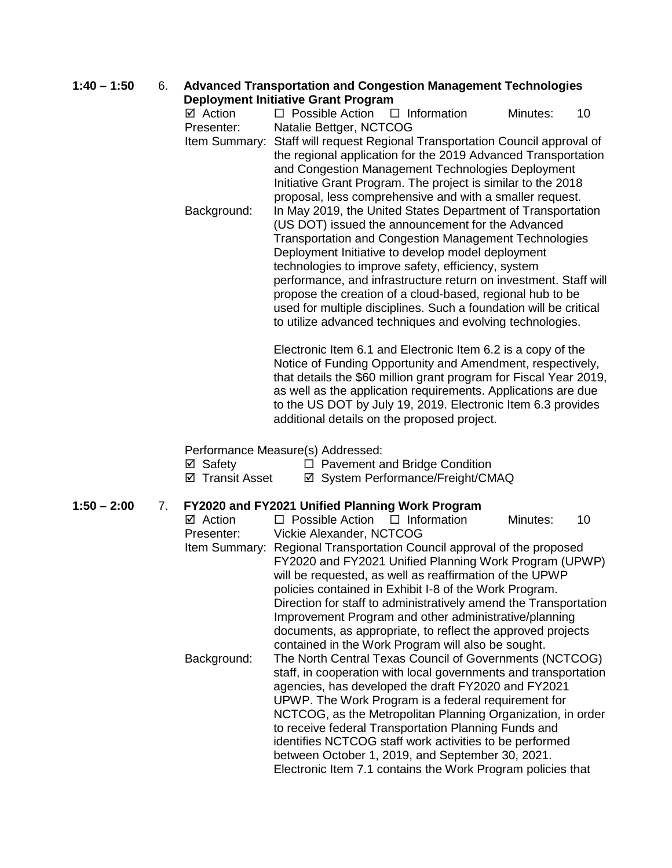# **1:40 – 1:50** 6. **Advanced Transportation and Congestion Management Technologies**

**Deployment Initiative Grant Program**<br>  $\Box$  Action  $\Box$  Possible Action 
□  $\Box$  Possible Action  $\Box$  Information Minutes: 10 Presenter: Natalie Bettger, NCTCOG Item Summary: Staff will request Regional Transportation Council approval of

the regional application for the 2019 Advanced Transportation and Congestion Management Technologies Deployment Initiative Grant Program. The project is similar to the 2018 proposal, less comprehensive and with a smaller request. Background: In May 2019, the United States Department of Transportation (US DOT) issued the announcement for the Advanced Transportation and Congestion Management Technologies Deployment Initiative to develop model deployment technologies to improve safety, efficiency, system performance, and infrastructure return on investment. Staff will propose the creation of a cloud-based, regional hub to be used for multiple disciplines. Such a foundation will be critical to utilize advanced techniques and evolving technologies.

> Electronic Item 6.1 and Electronic Item 6.2 is a copy of the Notice of Funding Opportunity and Amendment, respectively, that details the \$60 million grant program for Fiscal Year 2019, as well as the application requirements. Applications are due to the US DOT by July 19, 2019. Electronic Item 6.3 provides additional details on the proposed project.

Performance Measure(s) Addressed:

| ⊠ Safety        | $\Box$ Pavement and Bridge Condition |
|-----------------|--------------------------------------|
| ☑ Transit Asset | ☑ System Performance/Freight/CMAQ    |

### **1:50 – 2:00** 7. **FY2020 and FY2021 Unified Planning Work Program**

 $\boxtimes$  Action  $\Box$  Possible Action  $\Box$  Information Minutes: 10 Presenter: Vickie Alexander, NCTCOG Item Summary: Regional Transportation Council approval of the proposed FY2020 and FY2021 Unified Planning Work Program (UPWP) will be requested, as well as reaffirmation of the UPWP policies contained in Exhibit I-8 of the Work Program. Direction for staff to administratively amend the Transportation Improvement Program and other administrative/planning documents, as appropriate, to reflect the approved projects contained in the Work Program will also be sought. Background: The North Central Texas Council of Governments (NCTCOG) staff, in cooperation with local governments and transportation agencies, has developed the draft FY2020 and FY2021 UPWP. The Work Program is a federal requirement for NCTCOG, as the Metropolitan Planning Organization, in order to receive federal Transportation Planning Funds and identifies NCTCOG staff work activities to be performed between October 1, 2019, and September 30, 2021. Electronic Item 7.1 contains the Work Program policies that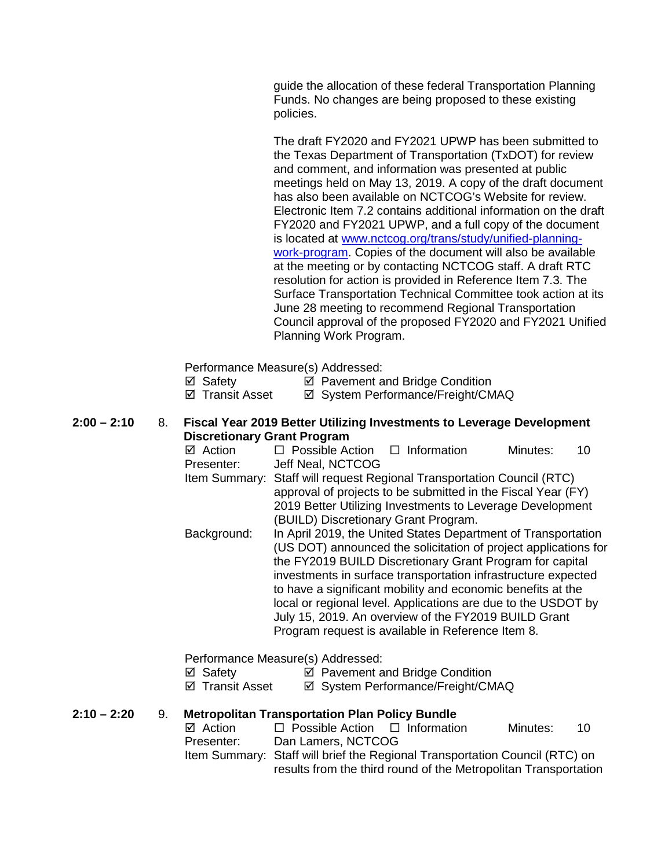guide the allocation of these federal Transportation Planning Funds. No changes are being proposed to these existing policies.

The draft FY2020 and FY2021 UPWP has been submitted to the Texas Department of Transportation (TxDOT) for review and comment, and information was presented at public meetings held on May 13, 2019. A copy of the draft document has also been available on NCTCOG's Website for review. Electronic Item 7.2 contains additional information on the draft FY2020 and FY2021 UPWP, and a full copy of the document is located at www.nctcog.org/trans/study/unified-planningwork-program. Copies of the document will also be available at the meeting or by contacting NCTCOG staff. A draft RTC resolution for action is provided in Reference Item 7.3. The Surface Transportation Technical Committee took action at its June 28 meeting to recommend Regional Transportation Council approval of the proposed FY2020 and FY2021 Unified Planning Work Program.

Performance Measure(s) Addressed:

- $\boxtimes$  Safety  $\boxtimes$  Pavement and Bridge Condition
- $\boxtimes$  **Transit Asset**  $\boxtimes$  System Performance/Freight/CMAQ
- **2:00 – 2:10** 8. **Fiscal Year 2019 Better Utilizing Investments to Leverage Development Discretionary Grant Program**<br>**☑** Action □ Possible Ad
	- $\Box$  Possible Action  $\Box$  Information Minutes: 10 Presenter: Jeff Neal, NCTCOG Item Summary: Staff will request Regional Transportation Council (RTC) approval of projects to be submitted in the Fiscal Year (FY) 2019 Better Utilizing Investments to Leverage Development (BUILD) Discretionary Grant Program. Background: In April 2019, the United States Department of Transportation (US DOT) announced the solicitation of project applications for the FY2019 BUILD Discretionary Grant Program for capital investments in surface transportation infrastructure expected to have a significant mobility and economic benefits at the local or regional level. Applications are due to the USDOT by July 15, 2019. An overview of the FY2019 BUILD Grant

Program request is available in Reference Item 8.

Performance Measure(s) Addressed:

- $\boxtimes$  Safety  $\boxtimes$  Pavement and Bridge Condition
- ⊠ Transit Asset **I** System Performance/Freight/CMAQ

#### **2:10 – 2:20** 9. **Metropolitan Transportation Plan Policy Bundle**

| ⊠ Action   | $\Box$ Possible Action $\Box$ Information                                   |                                                                 | Minutes: | - 10 |
|------------|-----------------------------------------------------------------------------|-----------------------------------------------------------------|----------|------|
| Presenter: | Dan Lamers, NCTCOG                                                          |                                                                 |          |      |
|            | Item Summary: Staff will brief the Regional Transportation Council (RTC) on |                                                                 |          |      |
|            |                                                                             | results from the third round of the Metropolitan Transportation |          |      |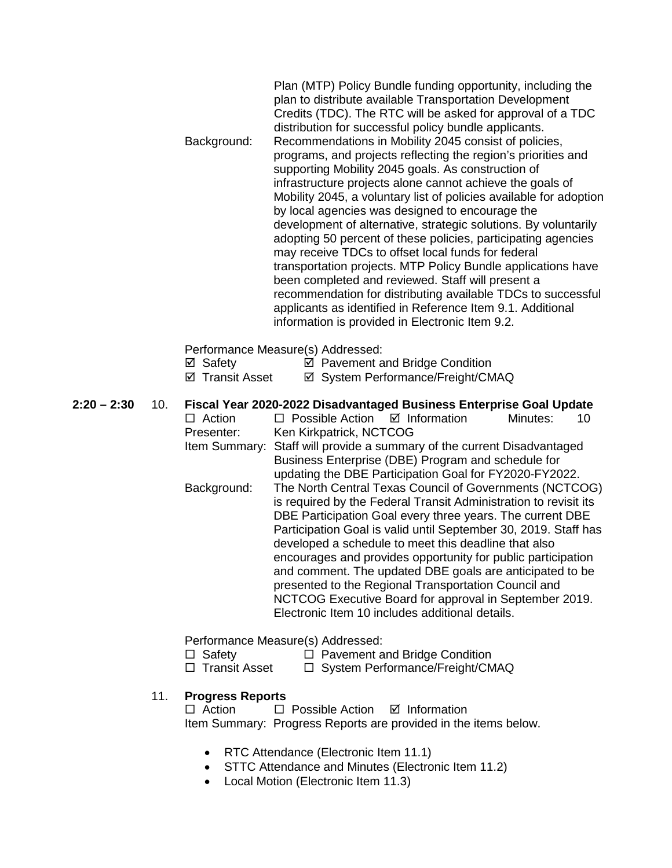| Background: | Plan (MTP) Policy Bundle funding opportunity, including the<br>plan to distribute available Transportation Development<br>Credits (TDC). The RTC will be asked for approval of a TDC<br>distribution for successful policy bundle applicants.<br>Recommendations in Mobility 2045 consist of policies,<br>programs, and projects reflecting the region's priorities and<br>supporting Mobility 2045 goals. As construction of<br>infrastructure projects alone cannot achieve the goals of<br>Mobility 2045, a voluntary list of policies available for adoption<br>by local agencies was designed to encourage the<br>development of alternative, strategic solutions. By voluntarily<br>adopting 50 percent of these policies, participating agencies<br>may receive TDCs to offset local funds for federal<br>transportation projects. MTP Policy Bundle applications have<br>been completed and reviewed. Staff will present a<br>recommendation for distributing available TDCs to successful<br>applicants as identified in Reference Item 9.1. Additional |
|-------------|------------------------------------------------------------------------------------------------------------------------------------------------------------------------------------------------------------------------------------------------------------------------------------------------------------------------------------------------------------------------------------------------------------------------------------------------------------------------------------------------------------------------------------------------------------------------------------------------------------------------------------------------------------------------------------------------------------------------------------------------------------------------------------------------------------------------------------------------------------------------------------------------------------------------------------------------------------------------------------------------------------------------------------------------------------------|
|             | information is provided in Electronic Item 9.2.                                                                                                                                                                                                                                                                                                                                                                                                                                                                                                                                                                                                                                                                                                                                                                                                                                                                                                                                                                                                                  |
| ⊠ Safety    | Performance Measure(s) Addressed:<br>☑ Pavement and Bridge Condition                                                                                                                                                                                                                                                                                                                                                                                                                                                                                                                                                                                                                                                                                                                                                                                                                                                                                                                                                                                             |

- ⊠ Transit Asset <br> **Ø System Performance/Freight/CMAQ**
- **2:20 – 2:30** 10. **Fiscal Year 2020-2022 Disadvantaged Business Enterprise Goal Update**  $\Box$  Action  $\Box$  Possible Action  $\Box$  Information Minutes: 10 Presenter: Ken Kirkpatrick, NCTCOG Item Summary: Staff will provide a summary of the current Disadvantaged
	- Business Enterprise (DBE) Program and schedule for updating the DBE Participation Goal for FY2020-FY2022. Background: The North Central Texas Council of Governments (NCTCOG) is required by the Federal Transit Administration to revisit its DBE Participation Goal every three years. The current DBE Participation Goal is valid until September 30, 2019. Staff has developed a schedule to meet this deadline that also encourages and provides opportunity for public participation and comment. The updated DBE goals are anticipated to be presented to the Regional Transportation Council and NCTCOG Executive Board for approval in September 2019. Electronic Item 10 includes additional details.

Performance Measure(s) Addressed:

- □ Safety □ Pavement and Bridge Condition
- □ Transit Asset □ System Performance/Freight/CMAQ

## 11. **Progress Reports**

 $\Box$  Action  $\Box$  Possible Action  $\Box$  Information Item Summary: Progress Reports are provided in the items below.

- RTC Attendance (Electronic Item 11.1)
- STTC Attendance and Minutes (Electronic Item 11.2)
- Local Motion (Electronic Item 11.3)